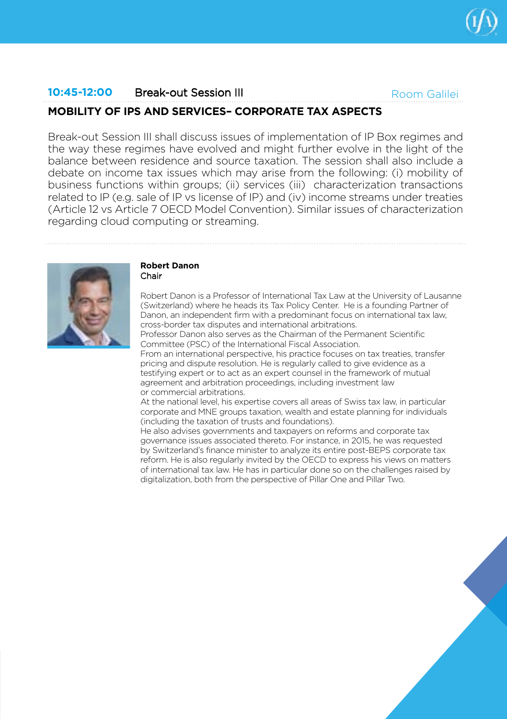

## **10:45-12:00** Break-out Session III

Room Galilei

# **MOBILITY OF IPS AND SERVICES– CORPORATE TAX ASPECTS**

Break-out Session III shall discuss issues of implementation of IP Box regimes and the way these regimes have evolved and might further evolve in the light of the balance between residence and source taxation. The session shall also include a debate on income tax issues which may arise from the following: (i) mobility of business functions within groups; (ii) services (iii) characterization transactions related to IP (e.g. sale of IP vs license of IP) and (iv) income streams under treaties (Article 12 vs Article 7 OECD Model Convention). Similar issues of characterization regarding cloud computing or streaming.



#### **Robert Danon** Chair

Robert Danon is a Professor of International Tax Law at the University of Lausanne (Switzerland) where he heads its Tax Policy Center. He is a founding Partner of Danon, an independent firm with a predominant focus on international tax law, cross-border tax disputes and international arbitrations.

Professor Danon also serves as the Chairman of the Permanent Scientific Committee (PSC) of the International Fiscal Association.

From an international perspective, his practice focuses on tax treaties, transfer pricing and dispute resolution. He is regularly called to give evidence as a testifying expert or to act as an expert counsel in the framework of mutual agreement and arbitration proceedings, including investment law or commercial arbitrations.

At the national level, his expertise covers all areas of Swiss tax law, in particular corporate and MNE groups taxation, wealth and estate planning for individuals (including the taxation of trusts and foundations).

He also advises governments and taxpayers on reforms and corporate tax governance issues associated thereto. For instance, in 2015, he was requested by Switzerland's finance minister to analyze its entire post-BEPS corporate tax reform. He is also regularly invited by the OECD to express his views on matters of international tax law. He has in particular done so on the challenges raised by digitalization, both from the perspective of Pillar One and Pillar Two.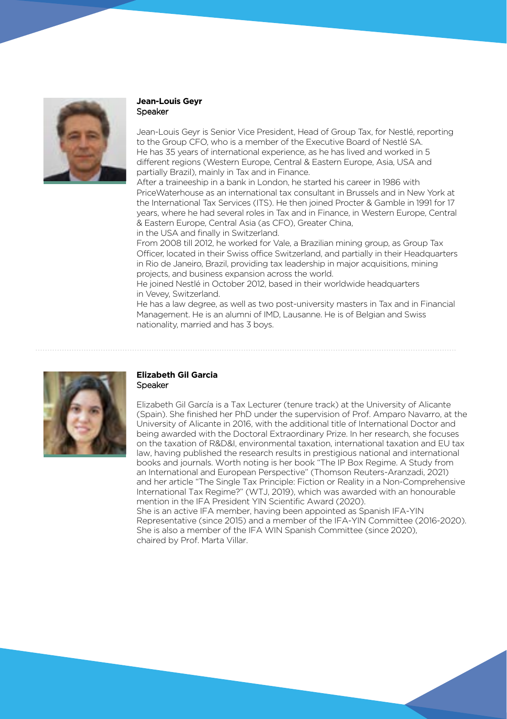

#### **Jean-Louis Geyr**  Speaker

Jean-Louis Geyr is Senior Vice President, Head of Group Tax, for Nestlé, reporting to the Group CFO, who is a member of the Executive Board of Nestlé SA. He has 35 years of international experience, as he has lived and worked in 5 different regions (Western Europe, Central & Eastern Europe, Asia, USA and partially Brazil), mainly in Tax and in Finance.

After a traineeship in a bank in London, he started his career in 1986 with PriceWaterhouse as an international tax consultant in Brussels and in New York at the International Tax Services (ITS). He then joined Procter & Gamble in 1991 for 17 years, where he had several roles in Tax and in Finance, in Western Europe, Central & Eastern Europe, Central Asia (as CFO), Greater China,

in the USA and finally in Switzerland.

From 2008 till 2012, he worked for Vale, a Brazilian mining group, as Group Tax Officer, located in their Swiss office Switzerland, and partially in their Headquarters in Rio de Janeiro, Brazil, providing tax leadership in major acquisitions, mining projects, and business expansion across the world.

He joined Nestlé in October 2012, based in their worldwide headquarters in Vevey, Switzerland.

He has a law degree, as well as two post-university masters in Tax and in Financial Management. He is an alumni of IMD, Lausanne. He is of Belgian and Swiss nationality, married and has 3 boys.



## **Elizabeth Gil Garcia** Speaker

Elizabeth Gil García is a Tax Lecturer (tenure track) at the University of Alicante (Spain). She finished her PhD under the supervision of Prof. Amparo Navarro, at the University of Alicante in 2016, with the additional title of International Doctor and being awarded with the Doctoral Extraordinary Prize. In her research, she focuses on the taxation of R&D&I, environmental taxation, international taxation and EU tax law, having published the research results in prestigious national and international books and journals. Worth noting is her book "The IP Box Regime. A Study from an International and European Perspective" (Thomson Reuters-Aranzadi, 2021) and her article "The Single Tax Principle: Fiction or Reality in a Non-Comprehensive International Tax Regime?" (WTJ, 2019), which was awarded with an honourable mention in the IFA President YIN Scientific Award (2020).

She is an active IFA member, having been appointed as Spanish IFA-YIN Representative (since 2015) and a member of the IFA-YIN Committee (2016-2020). She is also a member of the IFA WIN Spanish Committee (since 2020), chaired by Prof. Marta Villar.